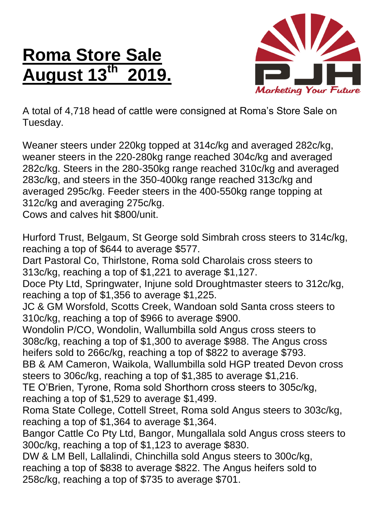## **Roma Store Sale August 13<sup>th</sup>**



A total of 4,718 head of cattle were consigned at Roma's Store Sale on Tuesday.

Weaner steers under 220kg topped at 314c/kg and averaged 282c/kg, weaner steers in the 220-280kg range reached 304c/kg and averaged 282c/kg. Steers in the 280-350kg range reached 310c/kg and averaged 283c/kg, and steers in the 350-400kg range reached 313c/kg and averaged 295c/kg. Feeder steers in the 400-550kg range topping at 312c/kg and averaging 275c/kg.

Cows and calves hit \$800/unit.

Hurford Trust, Belgaum, St George sold Simbrah cross steers to 314c/kg, reaching a top of \$644 to average \$577.

Dart Pastoral Co, Thirlstone, Roma sold Charolais cross steers to 313c/kg, reaching a top of \$1,221 to average \$1,127.

Doce Pty Ltd, Springwater, Injune sold Droughtmaster steers to 312c/kg, reaching a top of \$1,356 to average \$1,225.

JC & GM Worsfold, Scotts Creek, Wandoan sold Santa cross steers to 310c/kg, reaching a top of \$966 to average \$900.

Wondolin P/CO, Wondolin, Wallumbilla sold Angus cross steers to 308c/kg, reaching a top of \$1,300 to average \$988. The Angus cross heifers sold to 266c/kg, reaching a top of \$822 to average \$793.

BB & AM Cameron, Waikola, Wallumbilla sold HGP treated Devon cross steers to 306c/kg, reaching a top of \$1,385 to average \$1,216.

TE O'Brien, Tyrone, Roma sold Shorthorn cross steers to 305c/kg, reaching a top of \$1,529 to average \$1,499.

Roma State College, Cottell Street, Roma sold Angus steers to 303c/kg, reaching a top of \$1,364 to average \$1,364.

Bangor Cattle Co Pty Ltd, Bangor, Mungallala sold Angus cross steers to 300c/kg, reaching a top of \$1,123 to average \$830.

DW & LM Bell, Lallalindi, Chinchilla sold Angus steers to 300c/kg, reaching a top of \$838 to average \$822. The Angus heifers sold to 258c/kg, reaching a top of \$735 to average \$701.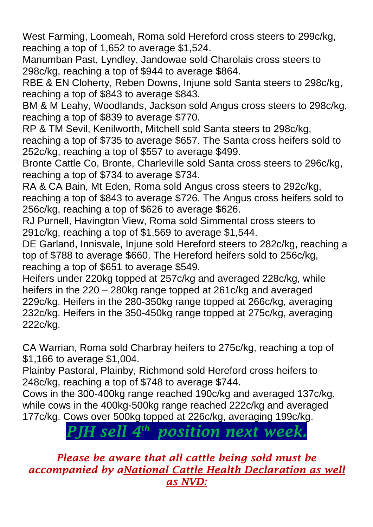West Farming, Loomeah, Roma sold Hereford cross steers to 299c/kg, reaching a top of 1,652 to average \$1,524.

Manumban Past, Lyndley, Jandowae sold Charolais cross steers to 298c/kg, reaching a top of \$944 to average \$864.

RBE & EN Cloherty, Reben Downs, Injune sold Santa steers to 298c/kg, reaching a top of \$843 to average \$843.

BM & M Leahy, Woodlands, Jackson sold Angus cross steers to 298c/kg, reaching a top of \$839 to average \$770.

RP & TM Sevil, Kenilworth, Mitchell sold Santa steers to 298c/kg, reaching a top of \$735 to average \$657. The Santa cross heifers sold to 252c/kg, reaching a top of \$557 to average \$499.

Bronte Cattle Co, Bronte, Charleville sold Santa cross steers to 296c/kg, reaching a top of \$734 to average \$734.

RA & CA Bain, Mt Eden, Roma sold Angus cross steers to 292c/kg, reaching a top of \$843 to average \$726. The Angus cross heifers sold to 256c/kg, reaching a top of \$626 to average \$626.

RJ Purnell, Havington View, Roma sold Simmental cross steers to 291c/kg, reaching a top of \$1,569 to average \$1,544.

DE Garland, Innisvale, Injune sold Hereford steers to 282c/kg, reaching a top of \$788 to average \$660. The Hereford heifers sold to 256c/kg, reaching a top of \$651 to average \$549.

Heifers under 220kg topped at 257c/kg and averaged 228c/kg, while heifers in the 220 – 280kg range topped at 261c/kg and averaged 229c/kg. Heifers in the 280-350kg range topped at 266c/kg, averaging 232c/kg. Heifers in the 350-450kg range topped at 275c/kg, averaging 222c/kg.

CA Warrian, Roma sold Charbray heifers to 275c/kg, reaching a top of \$1,166 to average \$1,004.

Plainby Pastoral, Plainby, Richmond sold Hereford cross heifers to 248c/kg, reaching a top of \$748 to average \$744.

Cows in the 300-400kg range reached 190c/kg and averaged 137c/kg, while cows in the 400kg-500kg range reached 222c/kg and averaged 177c/kg. Cows over 500kg topped at 226c/kg, averaging 199c/kg.

> *PJH sell 4 th position next week.*

*Please be aware that all cattle being sold must be accompanied by aNational Cattle Health Declaration as well as NVD:*